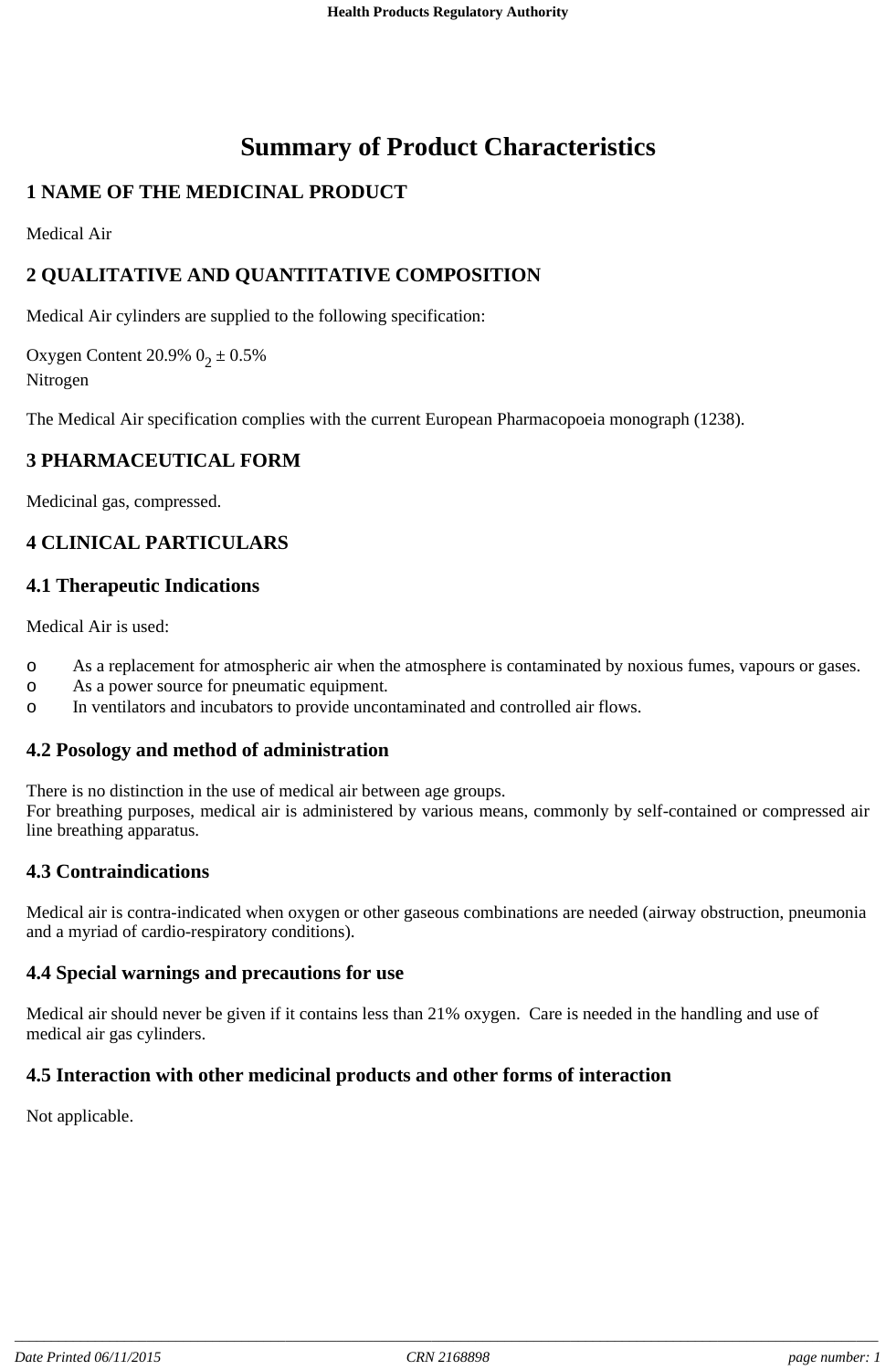# **Summary of Product Characteristics**

# **1 NAME OF THE MEDICINAL PRODUCT**

Medical Air

# **2 QUALITATIVE AND QUANTITATIVE COMPOSITION**

Medical Air cylinders are supplied to the following specification:

Oxygen Content 20.9%  $0_2 \pm 0.5$ % Nitrogen

The Medical Air specification complies with the current European Pharmacopoeia monograph (1238).

## **3 PHARMACEUTICAL FORM**

Medicinal gas, compressed.

## **4 CLINICAL PARTICULARS**

#### **4.1 Therapeutic Indications**

Medical Air is used:

- o As a replacement for atmospheric air when the atmosphere is contaminated by noxious fumes, vapours or gases.
- o As a power source for pneumatic equipment.
- o In ventilators and incubators to provide uncontaminated and controlled air flows.

#### **4.2 Posology and method of administration**

There is no distinction in the use of medical air between age groups.

For breathing purposes, medical air is administered by various means, commonly by self-contained or compressed air line breathing apparatus.

## **4.3 Contraindications**

Medical air is contra-indicated when oxygen or other gaseous combinations are needed (airway obstruction, pneumonia and a myriad of cardio-respiratory conditions).

#### **4.4 Special warnings and precautions for use**

Medical air should never be given if it contains less than 21% oxygen. Care is needed in the handling and use of medical air gas cylinders.

#### **4.5 Interaction with other medicinal products and other forms of interaction**

Not applicable.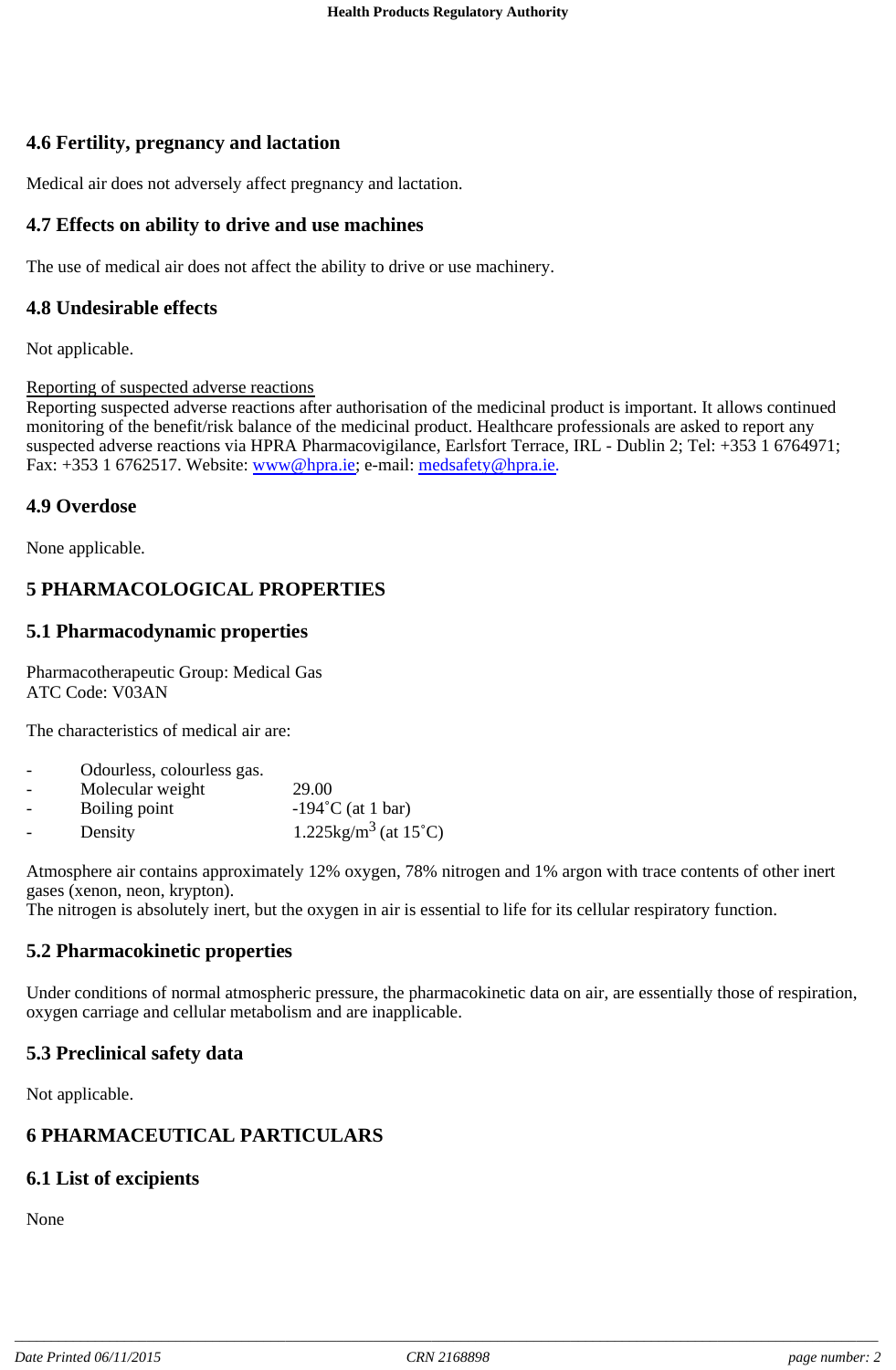# **4.6 Fertility, pregnancy and lactation**

Medical air does not adversely affect pregnancy and lactation.

#### **4.7 Effects on ability to drive and use machines**

The use of medical air does not affect the ability to drive or use machinery.

#### **4.8 Undesirable effects**

Not applicable.

Reporting of suspected adverse reactions

Reporting suspected adverse reactions after authorisation of the medicinal product is important. It allows continued monitoring of the benefit/risk balance of the medicinal product. Healthcare professionals are asked to report any suspected adverse reactions via HPRA Pharmacovigilance, Earlsfort Terrace, IRL - Dublin 2; Tel: +353 1 6764971; Fax: +353 1 6762517. Website: www@hpra.ie; e-mail: medsafety@hpra.ie.

#### **4.9 Overdose**

None applicable.

# **5 PHARMACOLOGICAL PROPERTIES**

## **5.1 Pharmacodynamic properties**

Pharmacotherapeutic Group: Medical Gas ATC Code: V03AN

The characteristics of medical air are:

| $\overline{\phantom{a}}$ | Odourless, colourless gas. |                                |
|--------------------------|----------------------------|--------------------------------|
| $\overline{\phantom{0}}$ | Molecular weight           | 29.00                          |
| $\overline{\phantom{0}}$ | Boiling point              | $-194$ °C (at 1 bar)           |
| $\overline{\phantom{0}}$ | Density                    | $1.225\text{kg/m}^3$ (at 15°C) |

Atmosphere air contains approximately 12% oxygen, 78% nitrogen and 1% argon with trace contents of other inert gases (xenon, neon, krypton).

The nitrogen is absolutely inert, but the oxygen in air is essential to life for its cellular respiratory function.

## **5.2 Pharmacokinetic properties**

Under conditions of normal atmospheric pressure, the pharmacokinetic data on air, are essentially those of respiration, oxygen carriage and cellular metabolism and are inapplicable.

## **5.3 Preclinical safety data**

Not applicable.

## **6 PHARMACEUTICAL PARTICULARS**

#### **6.1 List of excipients**

None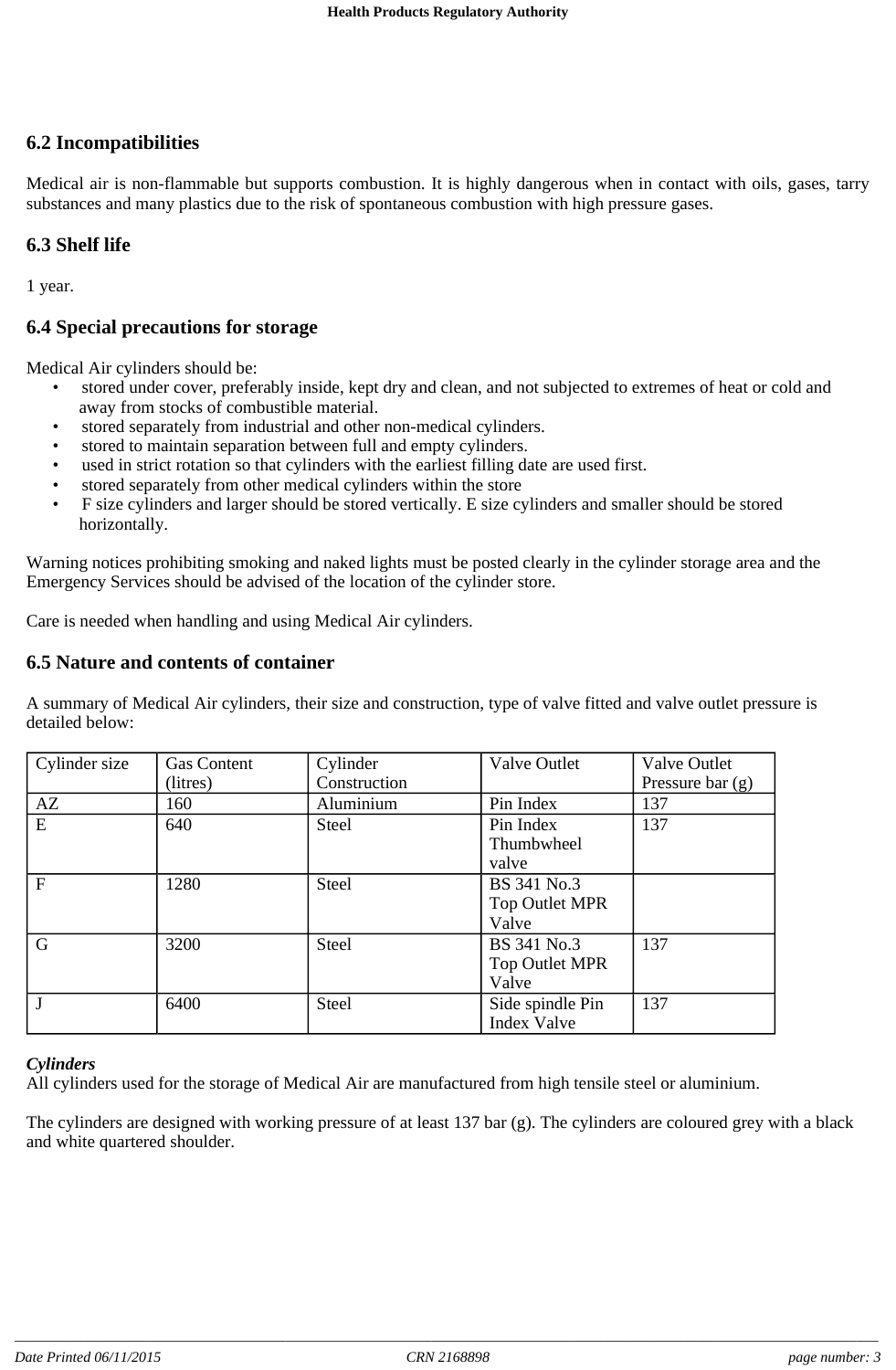## **6.2 Incompatibilities**

Medical air is non-flammable but supports combustion. It is highly dangerous when in contact with oils, gases, tarry substances and many plastics due to the risk of spontaneous combustion with high pressure gases.

#### **6.3 Shelf life**

1 year.

#### **6.4 Special precautions for storage**

Medical Air cylinders should be:

- stored under cover, preferably inside, kept dry and clean, and not subjected to extremes of heat or cold and away from stocks of combustible material.
- stored separately from industrial and other non-medical cylinders.
- stored to maintain separation between full and empty cylinders.
- used in strict rotation so that cylinders with the earliest filling date are used first.
- stored separately from other medical cylinders within the store
- F size cylinders and larger should be stored vertically. E size cylinders and smaller should be stored horizontally.

Warning notices prohibiting smoking and naked lights must be posted clearly in the cylinder storage area and the Emergency Services should be advised of the location of the cylinder store.

Care is needed when handling and using Medical Air cylinders.

#### **6.5 Nature and contents of container**

A summary of Medical Air cylinders, their size and construction, type of valve fitted and valve outlet pressure is detailed below:

| Cylinder size | <b>Gas Content</b> | Cylinder     | Valve Outlet          | Valve Outlet       |
|---------------|--------------------|--------------|-----------------------|--------------------|
|               | (litres)           | Construction |                       | Pressure bar $(g)$ |
| AZ            | 160                | Aluminium    | Pin Index             | 137                |
| E             | 640                | <b>Steel</b> | Pin Index             | 137                |
|               |                    |              | Thumbwheel            |                    |
|               |                    |              | valve                 |                    |
| $\mathbf{F}$  | 1280               | <b>Steel</b> | BS 341 No.3           |                    |
|               |                    |              | Top Outlet MPR        |                    |
|               |                    |              | Valve                 |                    |
| G             | 3200               | <b>Steel</b> | BS 341 No.3           | 137                |
|               |                    |              | <b>Top Outlet MPR</b> |                    |
|               |                    |              | Valve                 |                    |
|               | 6400               | Steel        | Side spindle Pin      | 137                |
|               |                    |              | <b>Index Valve</b>    |                    |

#### *Cylinders*

All cylinders used for the storage of Medical Air are manufactured from high tensile steel or aluminium.

The cylinders are designed with working pressure of at least 137 bar (g). The cylinders are coloured grey with a black and white quartered shoulder.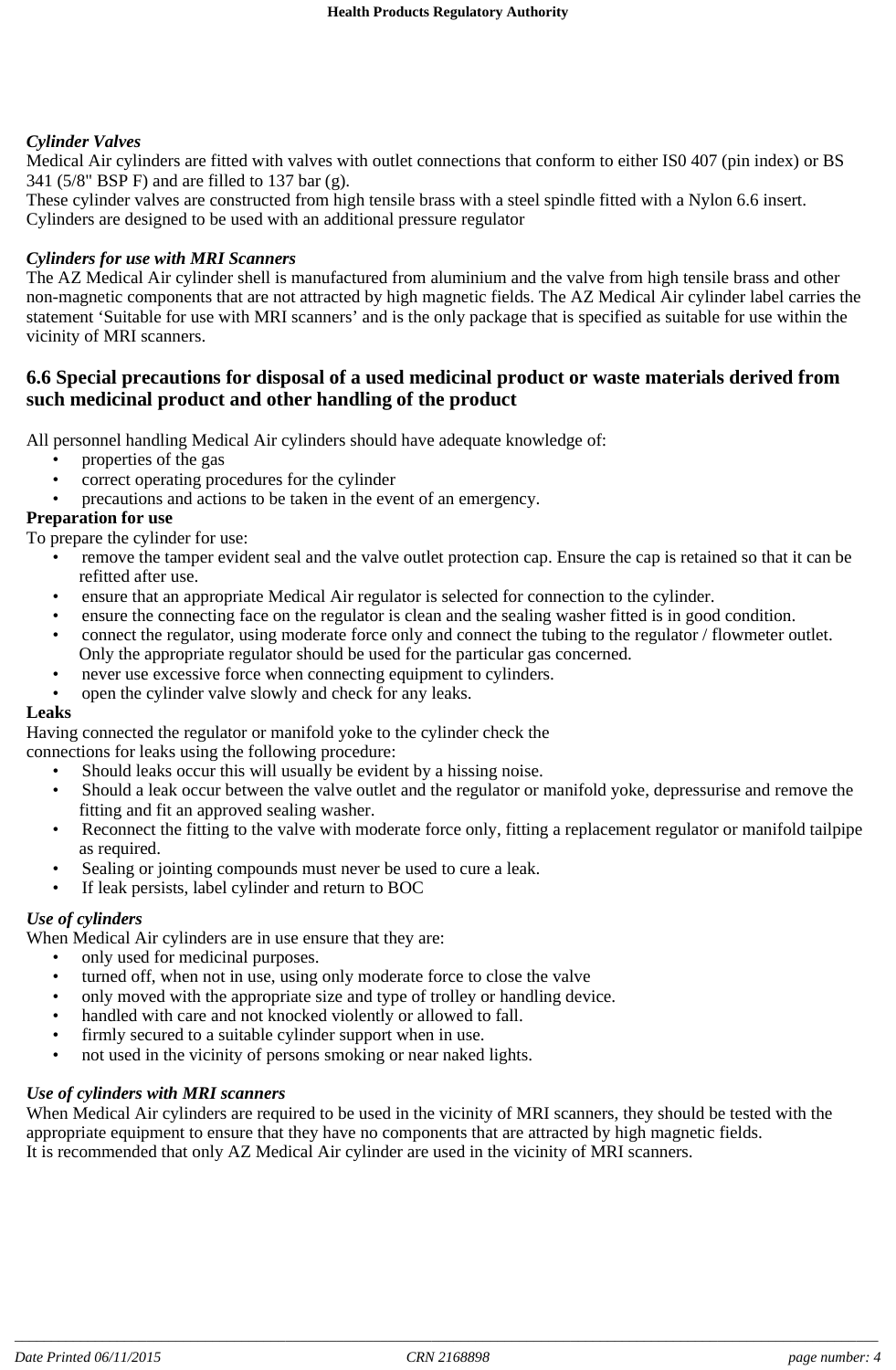#### *Cylinder Valves*

Medical Air cylinders are fitted with valves with outlet connections that conform to either IS0 407 (pin index) or BS 341 (5/8" BSP F) and are filled to 137 bar (g).

These cylinder valves are constructed from high tensile brass with a steel spindle fitted with a Nylon 6.6 insert. Cylinders are designed to be used with an additional pressure regulator

#### *Cylinders for use with MRI Scanners*

The AZ Medical Air cylinder shell is manufactured from aluminium and the valve from high tensile brass and other non-magnetic components that are not attracted by high magnetic fields. The AZ Medical Air cylinder label carries the statement 'Suitable for use with MRI scanners' and is the only package that is specified as suitable for use within the vicinity of MRI scanners.

#### **6.6 Special precautions for disposal of a used medicinal product or waste materials derived from such medicinal product and other handling of the product**

All personnel handling Medical Air cylinders should have adequate knowledge of:

- properties of the gas
- correct operating procedures for the cylinder
- precautions and actions to be taken in the event of an emergency.

#### **Preparation for use**

To prepare the cylinder for use:

- remove the tamper evident seal and the valve outlet protection cap. Ensure the cap is retained so that it can be refitted after use.
- ensure that an appropriate Medical Air regulator is selected for connection to the cylinder.
- ensure the connecting face on the regulator is clean and the sealing washer fitted is in good condition.
- connect the regulator, using moderate force only and connect the tubing to the regulator / flowmeter outlet. Only the appropriate regulator should be used for the particular gas concerned.
- never use excessive force when connecting equipment to cylinders.
- open the cylinder valve slowly and check for any leaks.

#### **Leaks**

Having connected the regulator or manifold yoke to the cylinder check the

connections for leaks using the following procedure:

- Should leaks occur this will usually be evident by a hissing noise.
- Should a leak occur between the valve outlet and the regulator or manifold yoke, depressurise and remove the fitting and fit an approved sealing washer.
- Reconnect the fitting to the valve with moderate force only, fitting a replacement regulator or manifold tailpipe as required.
- Sealing or jointing compounds must never be used to cure a leak.
- If leak persists, label cylinder and return to BOC

#### *Use of cylinders*

When Medical Air cylinders are in use ensure that they are:

- only used for medicinal purposes.
- turned off, when not in use, using only moderate force to close the valve
- only moved with the appropriate size and type of trolley or handling device.
- handled with care and not knocked violently or allowed to fall.
- firmly secured to a suitable cylinder support when in use.
- not used in the vicinity of persons smoking or near naked lights.

## *Use of cylinders with MRI scanners*

When Medical Air cylinders are required to be used in the vicinity of MRI scanners, they should be tested with the appropriate equipment to ensure that they have no components that are attracted by high magnetic fields. It is recommended that only AZ Medical Air cylinder are used in the vicinity of MRI scanners.